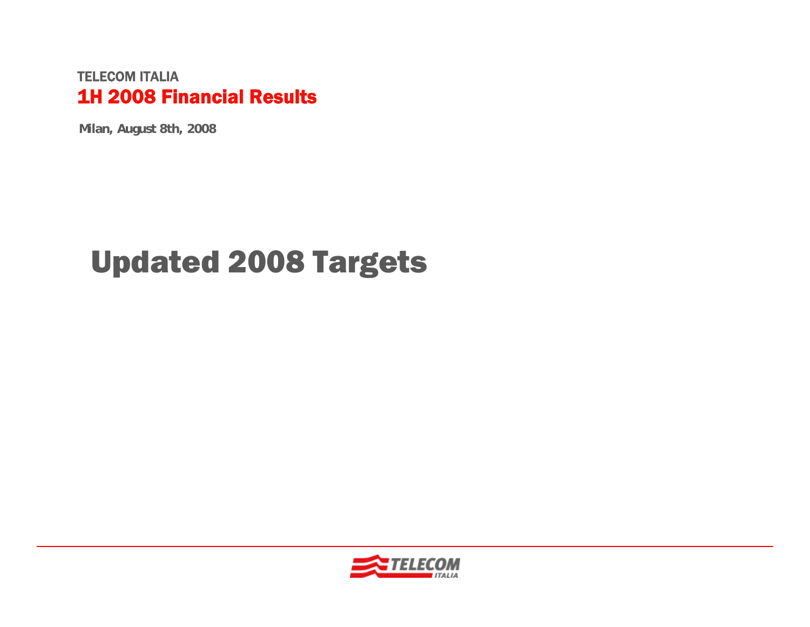#### TELECOM ITALIA1H 2008 Financial Results

**Milan, August 8th, 2008**

# Updated 2008 Targets

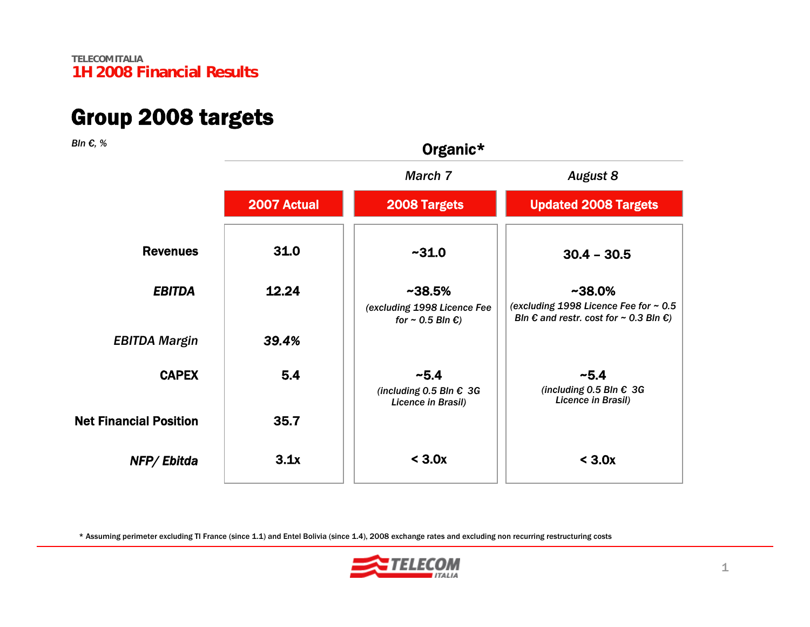### Group 2008 targets

*Bln €, %*

| 3In €, %                      | Organic*    |                                                                               |                                                                                                                        |  |  |
|-------------------------------|-------------|-------------------------------------------------------------------------------|------------------------------------------------------------------------------------------------------------------------|--|--|
|                               |             | March 7                                                                       | <b>August 8</b>                                                                                                        |  |  |
|                               | 2007 Actual | 2008 Targets                                                                  | <b>Updated 2008 Targets</b>                                                                                            |  |  |
| <b>Revenues</b>               | 31.0        | ~1.0                                                                          | $30.4 - 30.5$                                                                                                          |  |  |
| <b>EBITDA</b>                 | 12.24       | $~1438.5\%$<br>(excluding 1998 Licence Fee<br>for $\sim$ 0.5 Bln $\epsilon$ ) | $~1438.0\%$<br>(excluding 1998 Licence Fee for ~ 0.5<br>Bln $\epsilon$ and restr. cost for $\sim$ 0.3 Bln $\epsilon$ ) |  |  |
| <b>EBITDA Margin</b>          | 39.4%       |                                                                               |                                                                                                                        |  |  |
| <b>CAPEX</b>                  | 5.4         | $-5.4$<br>(including 0.5 Bln $€$ 3G<br>Licence in Brasil)                     | ~5.4<br>(including 0.5 Bln $€$ 3G<br>Licence in Brasil)                                                                |  |  |
| <b>Net Financial Position</b> | 35.7        |                                                                               |                                                                                                                        |  |  |
| NFP/Ebitda                    | 3.1x        | < 3.0x                                                                        | < 3.0x                                                                                                                 |  |  |
|                               |             |                                                                               |                                                                                                                        |  |  |

\* Assuming perimeter excluding TI France (since 1.1) and Entel Bolivia (since 1.4), 2008 exchange rates and excluding non recurring restructuring costs

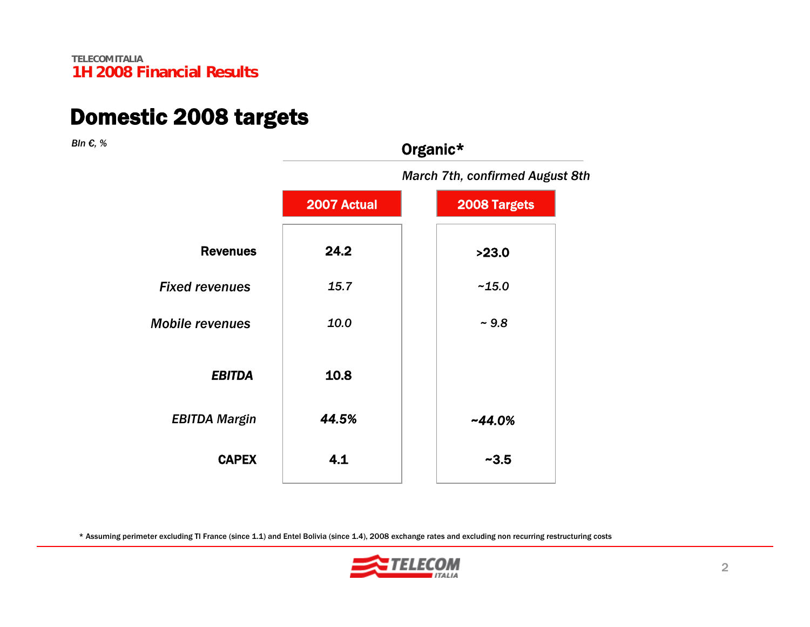### Domestic 2008 targets

*Bln €, %*

|                        | <b>March 7th, confirmed August 8th</b> |              |  |  |
|------------------------|----------------------------------------|--------------|--|--|
|                        | 2007 Actual                            | 2008 Targets |  |  |
| <b>Revenues</b>        | 24.2                                   | >23.0        |  |  |
| <b>Fixed revenues</b>  | 15.7                                   | $-15.0$      |  |  |
| <b>Mobile revenues</b> | 10.0                                   | ~1.8         |  |  |
| <b>EBITDA</b>          | 10.8                                   |              |  |  |
| <b>EBITDA Margin</b>   | 44.5%                                  | $-44.0%$     |  |  |
| <b>CAPEX</b>           | 4.1                                    | $-3.5$       |  |  |
|                        |                                        |              |  |  |

Organic\*

\* Assuming perimeter excluding TI France (since 1.1) and Entel Bolivia (since 1.4), 2008 exchange rates and excluding non recurring restructuring costs

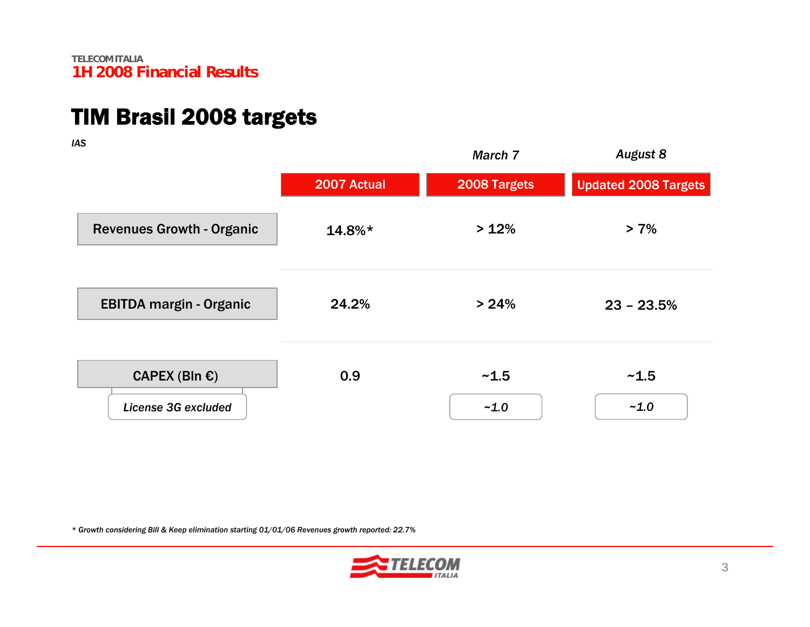## TIM Brasil 2008 targets

*IAS*

| nu                                             |             | March 7        | <b>August 8</b>             |
|------------------------------------------------|-------------|----------------|-----------------------------|
|                                                | 2007 Actual | 2008 Targets   | <b>Updated 2008 Targets</b> |
| <b>Revenues Growth - Organic</b>               | $14.8\%*$   | >12%           | $> 7\%$                     |
| <b>EBITDA margin - Organic</b>                 | 24.2%       | > 24%          | $23 - 23.5%$                |
| CAPEX (Bln $\epsilon$ )<br>License 3G excluded | 0.9         | ~1.5<br>$-1.0$ | ~1.5<br>$-1.0$              |

*\* Growth considering Bill & Keep elimination starting 01/01/06 Revenues growth reported: 22.7%*